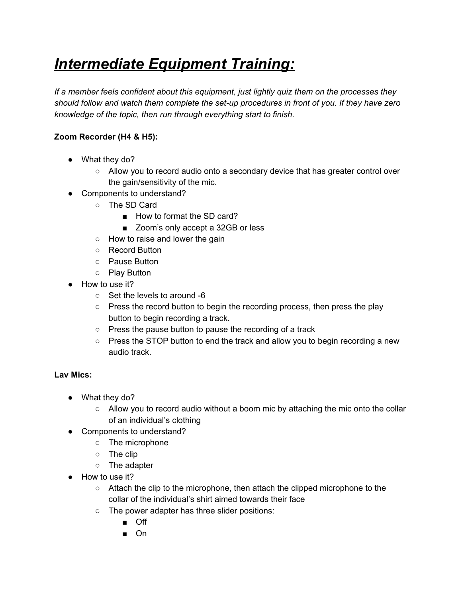# *Intermediate Equipment Training:*

*If a member feels confident about this equipment, just lightly quiz them on the processes they should follow and watch them complete the set-up procedures in front of you. If they have zero knowledge of the topic, then run through everything start to finish.*

# **Zoom Recorder (H4 & H5):**

- What they do?
	- Allow you to record audio onto a secondary device that has greater control over the gain/sensitivity of the mic.
- Components to understand?
	- The SD Card
		- How to format the SD card?
		- Zoom's only accept a 32GB or less
	- How to raise and lower the gain
	- Record Button
	- Pause Button
	- Play Button
- How to use it?
	- Set the levels to around -6
	- Press the record button to begin the recording process, then press the play button to begin recording a track.
	- Press the pause button to pause the recording of a track
	- Press the STOP button to end the track and allow you to begin recording a new audio track.

### **Lav Mics:**

- What they do?
	- $\circ$  Allow you to record audio without a boom mic by attaching the mic onto the collar of an individual's clothing
- Components to understand?
	- The microphone
	- The clip
	- The adapter
- How to use it?
	- Attach the clip to the microphone, then attach the clipped microphone to the collar of the individual's shirt aimed towards their face
	- The power adapter has three slider positions:
		- Off
		- On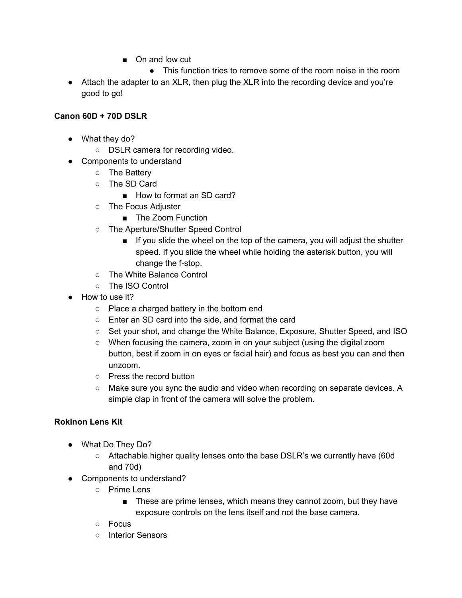- On and low cut
	- This function tries to remove some of the room noise in the room
- Attach the adapter to an XLR, then plug the XLR into the recording device and you're good to go!

### **Canon 60D + 70D DSLR**

- What they do?
	- DSLR camera for recording video.
- Components to understand
	- The Battery
	- The SD Card
		- How to format an SD card?
	- The Focus Adjuster
		- The Zoom Function
	- The Aperture/Shutter Speed Control
		- If you slide the wheel on the top of the camera, you will adjust the shutter speed. If you slide the wheel while holding the asterisk button, you will change the f-stop.
	- The White Balance Control
	- The ISO Control
- How to use it?
	- Place a charged battery in the bottom end
	- Enter an SD card into the side, and format the card
	- Set your shot, and change the White Balance, Exposure, Shutter Speed, and ISO
	- When focusing the camera, zoom in on your subject (using the digital zoom button, best if zoom in on eyes or facial hair) and focus as best you can and then unzoom.
	- Press the record button
	- Make sure you sync the audio and video when recording on separate devices. A simple clap in front of the camera will solve the problem.

### **Rokinon Lens Kit**

- What Do They Do?
	- Attachable higher quality lenses onto the base DSLR's we currently have (60d and 70d)
- Components to understand?
	- Prime Lens
		- These are prime lenses, which means they cannot zoom, but they have exposure controls on the lens itself and not the base camera.
	- Focus
	- Interior Sensors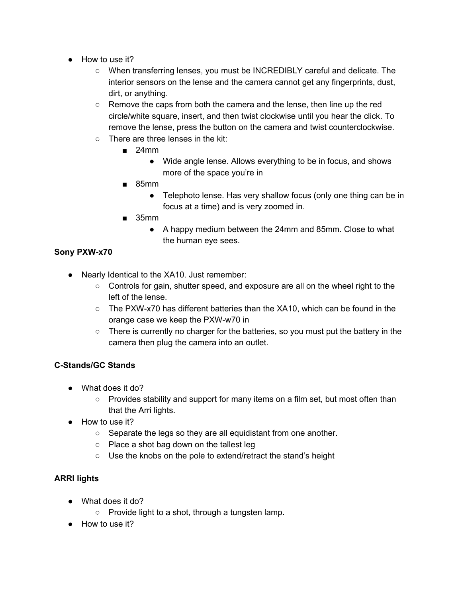- How to use it?
	- When transferring lenses, you must be INCREDIBLY careful and delicate. The interior sensors on the lense and the camera cannot get any fingerprints, dust, dirt, or anything.
	- Remove the caps from both the camera and the lense, then line up the red circle/white square, insert, and then twist clockwise until you hear the click. To remove the lense, press the button on the camera and twist counterclockwise.
	- There are three lenses in the kit:
		- $\blacksquare$  24mm
			- Wide angle lense. Allows everything to be in focus, and shows more of the space you're in
		- 85mm
			- Telephoto lense. Has very shallow focus (only one thing can be in focus at a time) and is very zoomed in.
		- 35mm
			- A happy medium between the 24mm and 85mm. Close to what the human eye sees.

# **Sony PXW-x70**

- Nearly Identical to the XA10. Just remember:
	- Controls for gain, shutter speed, and exposure are all on the wheel right to the left of the lense.
	- $\circ$  The PXW-x70 has different batteries than the XA10, which can be found in the orange case we keep the PXW-w70 in
	- There is currently no charger for the batteries, so you must put the battery in the camera then plug the camera into an outlet.

# **C-Stands/GC Stands**

- What does it do?
	- $\circ$  Provides stability and support for many items on a film set, but most often than that the Arri lights.
- How to use it?
	- Separate the legs so they are all equidistant from one another.
	- Place a shot bag down on the tallest leg
	- Use the knobs on the pole to extend/retract the stand's height

# **ARRI lights**

- What does it do?
	- $\circ$  Provide light to a shot, through a tungsten lamp.
- How to use it?